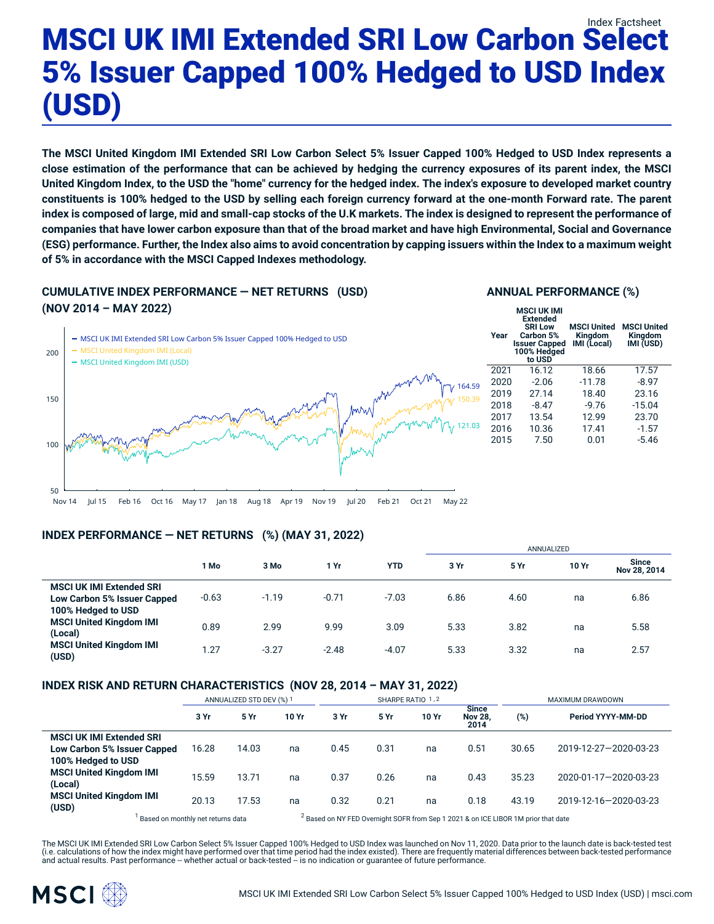# Index Factsheet MSCI UK IMI Extended SRI Low Carbon Select 5% Issuer Capped 100% Hedged to USD Index (USD)

The MSCI United Kingdom IMI Extended SRI Low Carbon Select 5% Issuer Capped 100% Hedged to USD Index represents a close estimation of the performance that can be achieved by hedging the currency exposures of its parent index, the MSCI United Kingdom Index, to the USD the "home" currency for the hedged index. The index's exposure to developed market country constituents is 100% hedged to the USD by selling each foreign currency forward at the one-month Forward rate. The parent index is composed of large, mid and small-cap stocks of the U.K markets. The index is designed to represent the performance of companies that have lower carbon exposure than that of the broad market and have high Environmental, Social and Governance (ESG) performance. Further, the Index also aims to avoid concentration by capping issuers within the Index to a maximum weight **of 5% in accordance with the MSCI Capped Indexes methodology.**

### **CUMULATIVE INDEX PERFORMANCE — NET RETURNS (USD) (NOV 2014 – MAY 2022)**

## 50 100 150 200 MSCI UK IMI Extended SRI Low Carbon 5% Issuer Capped 100% Hedged to USD MSCI United Kingdom IMI (Local) - MSCI United Kingdom IMI (USD) 164.59 150.39 121.03 **Year**

Nov 14 Jul 15 Feb 16 Oct 16 May 17 Jan 18 Aug 18 Apr 19 Nov 19 Jul 20 Feb 21 Oct 21 May 22

#### **INDEX PERFORMANCE — NET RETURNS (%) (MAY 31, 2022)**

|                                                                                      |         |         |         |            | <b>AININUALIZED</b> |      |       |                              |
|--------------------------------------------------------------------------------------|---------|---------|---------|------------|---------------------|------|-------|------------------------------|
|                                                                                      | 1 Mo    | 3 Mo    | 1 Yr    | <b>YTD</b> | 3 Yr                | 5 Yr | 10 Yr | <b>Since</b><br>Nov 28, 2014 |
| <b>MSCI UK IMI Extended SRI</b><br>Low Carbon 5% Issuer Capped<br>100% Hedged to USD | $-0.63$ | $-1.19$ | $-0.71$ | $-7.03$    | 6.86                | 4.60 | na    | 6.86                         |
| <b>MSCI United Kingdom IMI</b><br>(Local)                                            | 0.89    | 2.99    | 9.99    | 3.09       | 5.33                | 3.82 | na    | 5.58                         |
| <b>MSCI United Kingdom IMI</b><br>(USD)                                              | 1.27    | $-3.27$ | $-2.48$ | $-4.07$    | 5.33                | 3.32 | na    | 2.57                         |

#### **INDEX RISK AND RETURN CHARACTERISTICS (NOV 28, 2014 – MAY 31, 2022)**

|                                                                                      | ANNUALIZED STD DEV (%) 1                                                                                                           |       |       | SHARPE RATIO 1,2 |      |       |                                        | <b>MAXIMUM DRAWDOWN</b> |                       |  |
|--------------------------------------------------------------------------------------|------------------------------------------------------------------------------------------------------------------------------------|-------|-------|------------------|------|-------|----------------------------------------|-------------------------|-----------------------|--|
|                                                                                      | 3 Yr                                                                                                                               | 5 Yr  | 10 Yr | 3 Yr             | 5 Yr | 10 Yr | <b>Since</b><br><b>Nov 28,</b><br>2014 | (%)                     | Period YYYY-MM-DD     |  |
| <b>MSCI UK IMI Extended SRI</b><br>Low Carbon 5% Issuer Capped<br>100% Hedged to USD | 16.28                                                                                                                              | 14.03 | na    | 0.45             | 0.31 | na    | 0.51                                   | 30.65                   | 2019-12-27-2020-03-23 |  |
| <b>MSCI United Kingdom IMI</b><br>(Local)                                            | 15.59                                                                                                                              | 13.71 | na    | 0.37             | 0.26 | na    | 0.43                                   | 35.23                   | 2020-01-17-2020-03-23 |  |
| <b>MSCI United Kingdom IMI</b><br>(USD)                                              | 20.13                                                                                                                              | 17.53 | na    | 0.32             | 0.21 | na    | 0.18                                   | 43.19                   | 2019-12-16-2020-03-23 |  |
|                                                                                      | <sup>2</sup> Based on NY FED Overnight SOFR from Sep 1 2021 & on ICE LIBOR 1M prior that date<br>Based on monthly net returns data |       |       |                  |      |       |                                        |                         |                       |  |

The MSCI UK IMI Extended SRI Low Carbon Select 5% Issuer Capped 100% Hedged to USD Index was launched on Nov 11, 2020. Data prior to the launch date is back-tested test (i.e. calculations of how the index might have performed over that time period had the index existed). There are frequently material differences between back-tested performance<br>and actual results. Past performance – whethe



#### **ANNUAL PERFORMANCE (%)**

| Year | <b>MSCI UK IMI</b><br><b>Extended</b><br><b>SRI Low</b><br>Carbon 5%<br><b>Issuer Capped</b><br>100% Hedged<br>to USD | <b>MSCI United</b><br><b>Kingdom</b><br>IMI (Local) | <b>MSCI United</b><br><b>Kingdom</b><br>IMI (USD) |
|------|-----------------------------------------------------------------------------------------------------------------------|-----------------------------------------------------|---------------------------------------------------|
| 2021 | 16.12                                                                                                                 | 18.66                                               | 17.57                                             |
| 2020 | -2.06                                                                                                                 | $-11.78$                                            | $-8.97$                                           |
| 2019 | 27.14                                                                                                                 | 18.40                                               | 23.16                                             |
| 2018 | $-8.47$                                                                                                               | $-9.76$                                             | $-15.04$                                          |
| 2017 | 13.54                                                                                                                 | 12.99                                               | 23.70                                             |
| 2016 | 10.36                                                                                                                 | 17.41                                               | $-1.57$                                           |
| 2015 | 7.50                                                                                                                  | 0.01                                                | $-5.46$                                           |
|      |                                                                                                                       |                                                     |                                                   |

ANNUALIZED